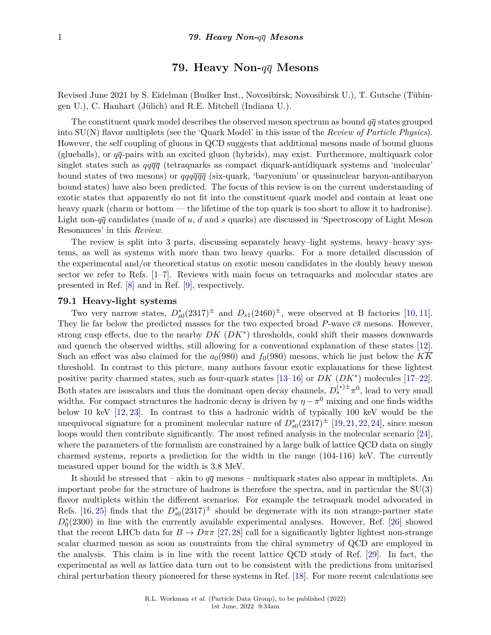# **79. Heavy Non-***qq* **Mesons**

Revised June 2021 by S. Eidelman (Budker Inst., Novosibirsk; Novosibirsk U.), T. Gutsche (Tübingen U.), C. Hanhart (Jülich) and R.E. Mitchell (Indiana U.).

The constituent quark model describes the observed meson spectrum as bound  $q\bar{q}$  states grouped into SU(N) flavor multiplets (see the 'Quark Model' in this issue of the *Review of Particle Physics*). However, the self coupling of gluons in QCD suggests that additional mesons made of bound gluons (glueballs), or  $q\bar{q}$ -pairs with an excited gluon (hybrids), may exist. Furthermore, multiquark color singlet states such as *qqqq* (tetraquarks as compact diquark-antidiquark systems and 'molecular' bound states of two mesons) or *qqqqqq* (six-quark, 'baryonium' or quasinuclear baryon-antibaryon bound states) have also been predicted. The focus of this review is on the current understanding of exotic states that apparently do not fit into the constituent quark model and contain at least one heavy quark (charm or bottom — the lifetime of the top quark is too short to allow it to hadronise). Light non- $q\bar{q}$  candidates (made of *u*, *d* and *s* quarks) are discussed in 'Spectroscopy of Light Meson Resonances' in this *Review*.

The review is split into 3 parts, discussing separately heavy–light systems, heavy–heavy systems, as well as systems with more than two heavy quarks. For a more detailed discussion of the experimental and/or theoretical status on exotic meson candidates in the doubly heavy meson sector we refer to Refs. [\[1–](#page-5-0)[7\]](#page-5-1). Reviews with main focus on tetraquarks and molecular states are presented in Ref. [\[8\]](#page-5-2) and in Ref. [\[9\]](#page-5-3), respectively.

## **79.1 Heavy-light systems**

Two very narrow states,  $D_{s0}^*(2317)^{\pm}$  and  $D_{s1}(2460)^{\pm}$ , were observed at B factories [\[10,](#page-5-4) [11\]](#page-5-5). They lie far below the predicted masses for the two expected broad *P*-wave *cs* mesons. However, strong cusp effects, due to the nearby *DK* (*DK*<sup>∗</sup> ) thresholds, could shift their masses downwards and quench the observed widths, still allowing for a conventional explanation of these states [\[12\]](#page-5-6). Such an effect was also claimed for the  $a_0(980)$  and  $f_0(980)$  mesons, which lie just below the  $K\overline{K}$ threshold. In contrast to this picture, many authors favour exotic explanations for these lightest positive parity charmed states, such as four-quark states [\[13–](#page-5-7)[16\]](#page-5-8) or *DK* (*DK*<sup>∗</sup> ) molecules [\[17–](#page-5-9)[22\]](#page-5-10). Both states are isoscalars and thus the dominant open decay channels,  $D_s^{(*) \pm} \pi^0$ , lead to very small widths. For compact structures the hadronic decay is driven by  $\eta - \pi^0$  mixing and one finds widths below 10 keV [\[12,](#page-5-6) [23\]](#page-5-11). In contrast to this a hadronic width of typically 100 keV would be the unequivocal signature for a prominent molecular nature of  $D_{s0}^*(2317)^{\pm}$  [\[19,](#page-5-12) [21,](#page-5-13) [22,](#page-5-10) [24\]](#page-5-14), since meson loops would then contribute significantly. The most refined analysis in the molecular scenario [\[24\]](#page-5-14), where the parameters of the formalism are constrained by a large bulk of lattice QCD data on singly charmed systems, reports a prediction for the width in the range (104-116) keV. The currently measured upper bound for the width is 3.8 MeV.

It should be stressed that – akin to  $q\bar{q}$  mesons – multiquark states also appear in multiplets. An important probe for the structure of hadrons is therefore the spectra, and in particular the SU(3) flavor multiplets within the different scenarios. For example the tetraquark model advocated in Refs. [\[16,](#page-5-8) [25\]](#page-5-15) finds that the  $D_{s0}^*(2317)^{\pm}$  should be degenerate with its non strange-partner state  $D_0^*(2300)$  in line with the currently available experimental analyses. However, Ref. [\[26\]](#page-5-16) showed that the recent LHCb data for  $B \to D\pi\pi$  [\[27,](#page-5-17)[28\]](#page-5-18) call for a significantly lighter lightest non-strange scalar charmed meson as soon as constraints from the chiral symmetry of QCD are employed in the analysis. This claim is in line with the recent lattice QCD study of Ref. [\[29\]](#page-5-19). In fact, the experimental as well as lattice data turn out to be consistent with the predictions from unitarised chiral perturbation theory pioneered for these systems in Ref. [\[18\]](#page-5-20). For more recent calculations see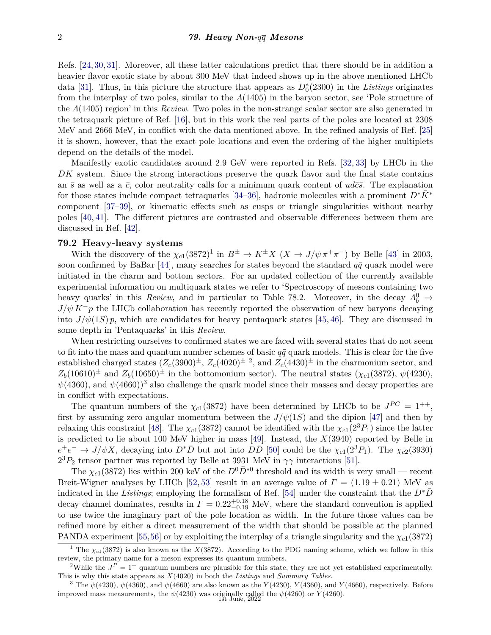Refs. [\[24,](#page-5-14) [30,](#page-5-21) [31\]](#page-5-22). Moreover, all these latter calculations predict that there should be in addition a heavier flavor exotic state by about 300 MeV that indeed shows up in the above mentioned LHCb data [\[31\]](#page-5-22). Thus, in this picture the structure that appears as  $D_0^*(2300)$  in the *Listings* originates from the interplay of two poles, similar to the *Λ*(1405) in the baryon sector, see 'Pole structure of the *Λ*(1405) region' in this *Review*. Two poles in the non-strange scalar sector are also generated in the tetraquark picture of Ref. [\[16\]](#page-5-8), but in this work the real parts of the poles are located at 2308 MeV and 2666 MeV, in conflict with the data mentioned above. In the refined analysis of Ref. [\[25\]](#page-5-15) it is shown, however, that the exact pole locations and even the ordering of the higher multiplets depend on the details of the model.

Manifestly exotic candidates around 2.9 GeV were reported in Refs. [\[32,](#page-5-23) [33\]](#page-5-24) by LHCb in the DK system. Since the strong interactions preserve the quark flavor and the final state contains an  $\bar{s}$  as well as a  $\bar{c}$ , color neutrality calls for a minimum quark content of  $ud\bar{c}\bar{s}$ . The explanation for those states include compact tetraquarks [\[34–](#page-5-25)[36\]](#page-5-26), hadronic molecules with a prominent  $D^*K^*$ component [\[37](#page-6-0)[–39\]](#page-6-1), or kinematic effects such as cusps or triangle singularities without nearby poles [\[40,](#page-6-2) [41\]](#page-6-3). The different pictures are contrasted and observable differences between them are discussed in Ref. [\[42\]](#page-6-4).

# **79.2 Heavy-heavy systems**

With the discovery of the  $\chi_{c1}(3872)^1$  $\chi_{c1}(3872)^1$  $\chi_{c1}(3872)^1$  in  $B^{\pm} \to K^{\pm}X$  ( $X \to J/\psi \pi^+\pi^-$ ) by Belle [\[43\]](#page-6-5) in 2003, soon confirmed by BaBar [\[44\]](#page-6-6), many searches for states beyond the standard  $q\bar{q}$  quark model were initiated in the charm and bottom sectors. For an updated collection of the currently available experimental information on multiquark states we refer to 'Spectroscopy of mesons containing two heavy quarks' in this *Review*, and in particular to Table 78.2. Moreover, in the decay  $Λ<sup>0</sup><sub>b</sub>$  →  $J/\psi K^-p$  the LHCb collaboration has recently reported the observation of new baryons decaying into  $J/\psi(1S)$  *p*, which are candidates for heavy pentaquark states [\[45,](#page-6-7) [46\]](#page-6-8). They are discussed in some depth in 'Pentaquarks' in this *Review*.

When restricting ourselves to confirmed states we are faced with several states that do not seem to fit into the mass and quantum number schemes of basic  $q\bar{q}$  quark models. This is clear for the five established charged states  $(Z_c(3900)^{\pm}, Z_c(4020)^{\pm 2}$  $(Z_c(3900)^{\pm}, Z_c(4020)^{\pm 2}$  $(Z_c(3900)^{\pm}, Z_c(4020)^{\pm 2}$ , and  $Z_c(4430)^{\pm}$  in the charmonium sector, and  $Z_b(10610)^{\pm}$  and  $Z_b(10650)^{\pm}$  in the bottomonium sector). The neutral states  $(\chi_{c1}(3872), \psi(4230))$  $\psi(4360)$  $\psi(4360)$  $\psi(4360)$ , and  $\psi(4660)$ <sup>3</sup> also challenge the quark model since their masses and decay properties are in conflict with expectations.

The quantum numbers of the  $\chi_{c1}(3872)$  have been determined by LHCb to be  $J^{PC} = 1^{++}$ , first by assuming zero angular momentum between the  $J/\psi(1S)$  and the dipion [\[47\]](#page-6-9) and then by relaxing this constraint [\[48\]](#page-6-10). The  $\chi_{c1}(3872)$  cannot be identified with the  $\chi_{c1}(2^3P_1)$  since the latter is predicted to lie about 100 MeV higher in mass [\[49\]](#page-6-11). Instead, the *X*(3940) reported by Belle in  $e^+e^- \to J/\psi X$ , decaying into  $D^*\bar{D}$  but not into  $D\bar{D}$  [\[50\]](#page-6-12) could be the  $\chi_{c1}(2^3P_1)$ . The  $\chi_{c2}(3930)$  $2<sup>3</sup>P<sub>2</sub>$  tensor partner was reported by Belle at 3931 MeV in  $\gamma\gamma$  interactions [\[51\]](#page-6-13).

The  $\chi_{c1}(3872)$  lies within 200 keV of the  $D^0\bar{D}^{*0}$  threshold and its width is very small — recent Breit-Wigner analyses by LHCb [\[52,](#page-6-14) [53\]](#page-6-15) result in an average value of  $\Gamma = (1.19 \pm 0.21)$  MeV as indicated in the *Listings*; employing the formalism of Ref. [\[54\]](#page-6-16) under the constraint that the  $D^*\bar{D}$ decay channel dominates, results in  $\Gamma = 0.22^{+0.18}_{-0.19}$  MeV, where the standard convention is applied to use twice the imaginary part of the pole location as width. In the future those values can be refined more by either a direct measurement of the width that should be possible at the planned PANDA experiment [\[55,](#page-6-17)[56\]](#page-6-18) or by exploiting the interplay of a triangle singularity and the *χc*1(3872)

<span id="page-1-0"></span><sup>&</sup>lt;sup>1</sup> The  $\chi_{c1}(3872)$  is also known as the *X*(3872). According to the PDG naming scheme, which we follow in this review, the primary name for a meson expresses its quantum numbers.

<span id="page-1-1"></span><sup>&</sup>lt;sup>2</sup>While the  $J^P = 1^+$  quantum numbers are plausible for this state, they are not yet established experimentally. This is why this state appears as *X*(4020) in both the *Listings* and *Summary Tables.*

<span id="page-1-2"></span><sup>&</sup>lt;sup>3</sup> The  $\psi$ (4230),  $\psi$ (4360), and  $\psi$ (4660) are also known as the *Y*(4230), *Y*(4360), and *Y*(4660), respectively. Before improved mass measurements, the  $\psi(4230)$  was originally called the  $\psi(4260)$  or  $Y(4260)$ .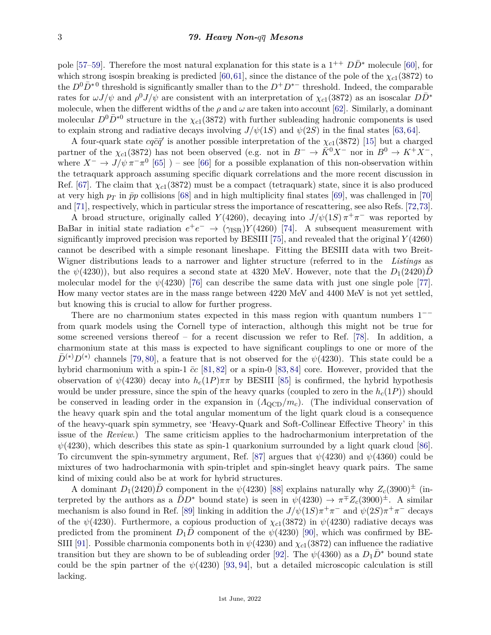pole [\[57](#page-6-19)[–59\]](#page-6-20). Therefore the most natural explanation for this state is a  $1^{++}$   $D\bar{D}^*$  molecule [\[60\]](#page-6-21), for which strong isospin breaking is predicted [\[60,](#page-6-21)[61\]](#page-6-22), since the distance of the pole of the  $\chi_{c1}(3872)$  to the  $D^0\bar{D}^*{}^0$  threshold is significantly smaller than to the  $D^+D^{*-}$  threshold. Indeed, the comparable rates for  $\omega J/\psi$  and  $\rho^0 J/\psi$  are consistent with an interpretation of  $\chi_{c1}(3872)$  as an isoscalar  $D\bar{D}^*$ molecule, when the different widths of the  $\rho$  and  $\omega$  are taken into account [\[62\]](#page-6-23). Similarly, a dominant molecular  $D^0\bar{D}^{*0}$  structure in the  $\chi_{c1}(3872)$  with further subleading hadronic components is used to explain strong and radiative decays involving  $J/\psi(1S)$  and  $\psi(2S)$  in the final states [\[63,](#page-6-24) [64\]](#page-6-25).

A four-quark state  $cq\bar{c}\bar{q}'$  is another possible interpretation of the  $\chi_{c1}(3872)$  [\[15\]](#page-5-27) but a charged partner of the  $\chi_{c1}(3872)$  has not been observed (e.g. not in  $B^- \to \bar{K}^0 X^-$  nor in  $B^0 \to K^+ X^-$ , where  $X^-$  →  $J/\psi \pi^- \pi^0$  [\[65\]](#page-6-26) ) – see [\[66\]](#page-6-27) for a possible explanation of this non-observation within the tetraquark approach assuming specific diquark correlations and the more recent discussion in Ref. [\[67\]](#page-6-28). The claim that  $\chi_{c1}(3872)$  must be a compact (tetraquark) state, since it is also produced at very high  $p_T$  in  $\bar{p}p$  collisions [\[68\]](#page-6-29) and in high multiplicity final states [\[69\]](#page-6-30), was challenged in [\[70\]](#page-6-31) and [\[71\]](#page-6-32), respectively, which in particular stress the importance of rescattering, see also Refs. [\[72,](#page-6-33)[73\]](#page-6-34).

A broad structure, originally called *Y*(4260), decaying into  $J/\psi(1S) \pi^+\pi^-$  was reported by BaBar in initial state radiation  $e^+e^- \rightarrow (\gamma_{\rm ISR})Y(4260)$  [\[74\]](#page-6-35). A subsequent measurement with significantly improved precision was reported by BESIII [\[75\]](#page-7-0), and revealed that the original *Y* (4260) cannot be described with a simple resonant lineshape. Fitting the BESIII data with two Breit-Wigner distributions leads to a narrower and lighter structure (referred to in the *Listings* as the  $\psi(4230)$ , but also requires a second state at 4320 MeV. However, note that the  $D_1(2420)D_1$ molecular model for the  $\psi(4230)$  [\[76\]](#page-7-1) can describe the same data with just one single pole [\[77\]](#page-7-2). How many vector states are in the mass range between 4220 MeV and 4400 MeV is not yet settled, but knowing this is crucial to allow for further progress.

There are no charmonium states expected in this mass region with quantum numbers  $1$ from quark models using the Cornell type of interaction, although this might not be true for some screened versions thereof – for a recent discussion we refer to Ref.  $[78]$ . In addition, a charmonium state at this mass is expected to have significant couplings to one or more of the  $\bar{D}^{(*)}D^{(*)}$  channels [\[79,](#page-7-4) [80\]](#page-7-5), a feature that is not observed for the  $\psi(4230)$ . This state could be a hybrid charmonium with a spin-1  $\bar{c}c$  [\[81,](#page-7-6) [82\]](#page-7-7) or a spin-0 [\[83,](#page-7-8) [84\]](#page-7-9) core. However, provided that the observation of  $\psi(4230)$  decay into  $h_c(1P)\pi\pi$  by BESIII [\[85\]](#page-7-10) is confirmed, the hybrid hypothesis would be under pressure, since the spin of the heavy quarks (coupled to zero in the  $h_c(1P)$ ) should be conserved in leading order in the expansion in (*Λ*QCD*/mc*). (The individual conservation of the heavy quark spin and the total angular momentum of the light quark cloud is a consequence of the heavy-quark spin symmetry, see 'Heavy-Quark and Soft-Collinear Effective Theory' in this issue of the *Review*.) The same criticism applies to the hadrocharmonium interpretation of the  $\psi(4230)$ , which describes this state as spin-1 quarkonium surrounded by a light quark cloud [\[86\]](#page-7-11). To circumvent the spin-symmetry argument, Ref. [\[87\]](#page-7-12) argues that  $\psi(4230)$  and  $\psi(4360)$  could be mixtures of two hadrocharmonia with spin-triplet and spin-singlet heavy quark pairs. The same kind of mixing could also be at work for hybrid structures.

A dominant  $D_1(2420)D$  component in the  $\psi(4230)$  [\[88\]](#page-7-13) explains naturally why  $Z_c(3900)^\pm$  (interpreted by the authors as a  $\bar{D}D^*$  bound state) is seen in  $\psi(4230) \to \pi^{\pm} Z_c(3900)^{\pm}$ . A similar mechanism is also found in Ref. [\[89\]](#page-7-14) linking in addition the  $J/\psi(1S)\pi^{+}\pi^{-}$  and  $\psi(2S)\pi^{+}\pi^{-}$  decays of the  $\psi$ (4230). Furthermore, a copious production of  $\chi_{c1}(3872)$  in  $\psi$ (4230) radiative decays was predicted from the prominent  $D_1D$  component of the  $\psi(4230)$  [\[90\]](#page-7-15), which was confirmed by BE-SIII [\[91\]](#page-7-16). Possible charmonia components both in  $\psi$ (4230) and  $\chi$ <sub>c1</sub>(3872) can influence the radiative transition but they are shown to be of subleading order [\[92\]](#page-7-17). The  $\psi(4360)$  as a  $D_1D^*$  bound state could be the spin partner of the  $\psi(4230)$  [\[93,](#page-7-18) [94\]](#page-7-19), but a detailed microscopic calculation is still lacking.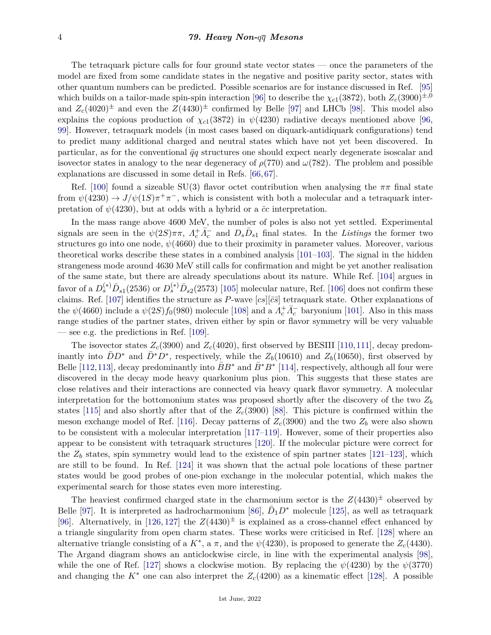The tetraquark picture calls for four ground state vector states — once the parameters of the model are fixed from some candidate states in the negative and positive parity sector, states with other quantum numbers can be predicted. Possible scenarios are for instance discussed in Ref. [\[95\]](#page-7-20) which builds on a tailor-made spin-spin interaction [\[96\]](#page-7-21) to describe the  $\chi_{c1}(3872)$ , both  $Z_c(3900)^{\pm,0}$ and  $Z_c(4020)^{\pm}$  and even the  $Z(4430)^{\pm}$  confirmed by Belle [\[97\]](#page-7-22) and LHCb [\[98\]](#page-7-23). This model also explains the copious production of  $\chi_{c1}(3872)$  in  $\psi(4230)$  radiative decays mentioned above [\[96,](#page-7-21) [99\]](#page-7-24). However, tetraquark models (in most cases based on diquark-antidiquark configurations) tend to predict many additional charged and neutral states which have not yet been discovered. In particular, as for the conventional  $\bar{q}q$  structures one should expect nearly degenerate isoscalar and isovector states in analogy to the near degeneracy of  $\rho(770)$  and  $\omega(782)$ . The problem and possible explanations are discussed in some detail in Refs. [\[66,](#page-6-27) [67\]](#page-6-28).

Ref. [\[100\]](#page-7-25) found a sizeable SU(3) flavor octet contribution when analysing the  $\pi\pi$  final state from  $\psi(4230) \to J/\psi(1S)\pi^+\pi^-$ , which is consistent with both a molecular and a tetraquark interpretation of  $\psi(4230)$ , but at odds with a hybrid or a  $\bar{c}c$  interpretation.

In the mass range above 4600 MeV, the number of poles is also not yet settled. Experimental signals are seen in the  $\psi(2S)\pi\pi$ ,  $\Lambda_c^+\bar{\Lambda}_c^-$  and  $D_s\bar{D}_{s1}$  final states. In the *Listings* the former two structures go into one node,  $\psi(4660)$  due to their proximity in parameter values. Moreover, various theoretical works describe these states in a combined analysis [\[101–](#page-7-26)[103\]](#page-7-27). The signal in the hidden strangeness mode around 4630 MeV still calls for confirmation and might be yet another realisation of the same state, but there are already speculations about its nature. While Ref. [\[104\]](#page-7-28) argues in favor of a  $D_s^{(*)} \bar{D}_{s1}(2536)$  or  $D_s^{(*)} \bar{D}_{s2}(2573)$  [\[105\]](#page-7-29) molecular nature, Ref. [\[106\]](#page-7-30) does not confirm these claims. Ref. [\[107\]](#page-7-31) identifies the structure as *P*-wave  $[cs][\bar{c}\bar{s}]$  tetraquark state. Other explanations of the  $\psi(4660)$  include a  $\psi(2S) f_0(980)$  molecule [\[108\]](#page-7-32) and a  $A_c^+ \overline{A_c}^-$  baryonium [\[101\]](#page-7-26). Also in this mass range studies of the partner states, driven either by spin or flavor symmetry will be very valuable — see e.g. the predictions in Ref. [\[109\]](#page-7-33).

The isovector states  $Z_c(3900)$  and  $Z_c(4020)$ , first observed by BESIII [\[110,](#page-7-34)[111\]](#page-7-35), decay predominantly into  $\bar{D}D^*$  and  $\bar{D}^*D^*$ , respectively, while the  $Z_b(10610)$  and  $Z_b(10650)$ , first observed by Belle [\[112,](#page-8-0)[113\]](#page-8-1), decay predominantly into  $\bar{B}B^*$  and  $\bar{B}^*B^*$  [\[114\]](#page-8-2), respectively, although all four were discovered in the decay mode heavy quarkonium plus pion. This suggests that these states are close relatives and their interactions are connected via heavy quark flavor symmetry. A molecular interpretation for the bottomonium states was proposed shortly after the discovery of the two *Z<sup>b</sup>* states [\[115\]](#page-8-3) and also shortly after that of the *Zc*(3900) [\[88\]](#page-7-13). This picture is confirmed within the meson exchange model of Ref. [\[116\]](#page-8-4). Decay patterns of  $Z_c(3900)$  and the two  $Z_b$  were also shown to be consistent with a molecular interpretation [\[117–](#page-8-5)[119\]](#page-8-6). However, some of their properties also appear to be consistent with tetraquark structures [\[120\]](#page-8-7). If the molecular picture were correct for the  $Z_b$  states, spin symmetry would lead to the existence of spin partner states [\[121–](#page-8-8)[123\]](#page-8-9), which are still to be found. In Ref. [\[124\]](#page-8-10) it was shown that the actual pole locations of these partner states would be good probes of one-pion exchange in the molecular potential, which makes the experimental search for those states even more interesting.

The heaviest confirmed charged state in the charmonium sector is the  $Z(4430)^{\pm}$  observed by Belle [\[97\]](#page-7-22). It is interpreted as hadrocharmonium [\[86\]](#page-7-11),  $\bar{D}_1 D^*$  molecule [\[125\]](#page-8-11), as well as tetraquark [\[96\]](#page-7-21). Alternatively, in [\[126,](#page-8-12) [127\]](#page-8-13) the  $Z(4430)^{\pm}$  is explained as a cross-channel effect enhanced by a triangle singularity from open charm states. These works were criticised in Ref. [\[128\]](#page-8-14) where an alternative triangle consisting of a  $K^*$ , a  $\pi$ , and the  $\psi$ (4230), is proposed to generate the  $Z_c$ (4430). The Argand diagram shows an anticlockwise circle, in line with the experimental analysis [\[98\]](#page-7-23), while the one of Ref. [\[127\]](#page-8-13) shows a clockwise motion. By replacing the  $\psi(4230)$  by the  $\psi(3770)$ and changing the  $K^*$  one can also interpret the  $Z_c(4200)$  as a kinematic effect [\[128\]](#page-8-14). A possible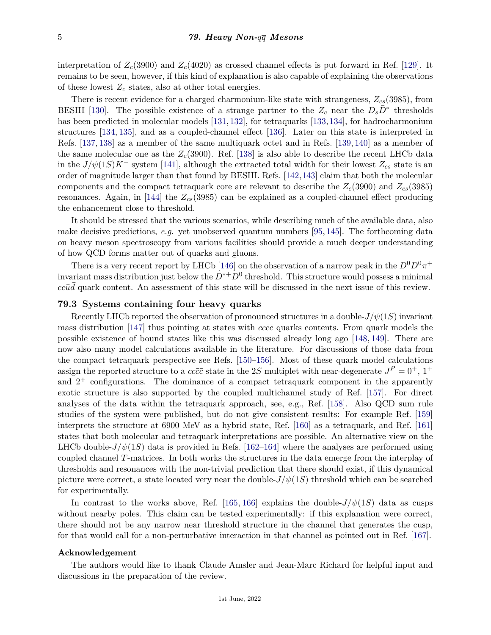interpretation of  $Z_c(3900)$  and  $Z_c(4020)$  as crossed channel effects is put forward in Ref. [\[129\]](#page-8-15). It remains to be seen, however, if this kind of explanation is also capable of explaining the observations of these lowest *Z<sup>c</sup>* states, also at other total energies.

There is recent evidence for a charged charmonium-like state with strangeness, *Zcs*(3985), from BESIII [\[130\]](#page-8-16). The possible existence of a strange partner to the  $Z_c$  near the  $D_s\bar{D}^*$  thresholds has been predicted in molecular models [\[131,](#page-8-17) [132\]](#page-8-18), for tetraquarks [\[133,](#page-8-19) [134\]](#page-8-20), for hadrocharmonium structures [\[134,](#page-8-20) [135\]](#page-8-21), and as a coupled-channel effect [\[136\]](#page-8-22). Later on this state is interpreted in Refs. [\[137,](#page-8-23) [138\]](#page-8-24) as a member of the same multiquark octet and in Refs. [\[139,](#page-8-25) [140\]](#page-8-26) as a member of the same molecular one as the  $Z_c(3900)$ . Ref. [\[138\]](#page-8-24) is also able to describe the recent LHCb data in the  $J/\psi(1S)K^-$  system [\[141\]](#page-8-27), although the extracted total width for their lowest  $Z_{cs}$  state is an order of magnitude larger than that found by BESIII. Refs. [\[142,](#page-8-28)[143\]](#page-8-29) claim that both the molecular components and the compact tetraquark core are relevant to describe the  $Z_c(3900)$  and  $Z_{cs}(3985)$ resonances. Again, in [\[144\]](#page-8-30) the *Zcs*(3985) can be explained as a coupled-channel effect producing the enhancement close to threshold.

It should be stressed that the various scenarios, while describing much of the available data, also make decisive predictions, *e.g.* yet unobserved quantum numbers [\[95,](#page-7-20) [145\]](#page-8-31). The forthcoming data on heavy meson spectroscopy from various facilities should provide a much deeper understanding of how QCD forms matter out of quarks and gluons.

There is a very recent report by LHCb [\[146\]](#page-8-32) on the observation of a narrow peak in the  $D^0D^0\pi^+$ invariant mass distribution just below the  $D^{*+}D^0$  threshold. This structure would possess a minimal  $cc\bar{u}\bar{d}$  quark content. An assessment of this state will be discussed in the next issue of this review.

# **79.3 Systems containing four heavy quarks**

Recently LHCb reported the observation of pronounced structures in a double-*J/ψ*(1*S*) invariant mass distribution [\[147\]](#page-8-33) thus pointing at states with  $cc\bar{c}\bar{c}$  quarks contents. From quark models the possible existence of bound states like this was discussed already long ago [\[148,](#page-9-0) [149\]](#page-9-1). There are now also many model calculations available in the literature. For discussions of those data from the compact tetraquark perspective see Refs. [\[150–](#page-9-2)[156\]](#page-9-3). Most of these quark model calculations assign the reported structure to a  $cc\bar{c}\bar{c}$  state in the 2*S* multiplet with near-degenerate  $J^P = 0^+, 1^+$ and  $2^+$  configurations. The dominance of a compact tetraquark component in the apparently exotic structure is also supported by the coupled multichannel study of Ref. [\[157\]](#page-9-4). For direct analyses of the data within the tetraquark approach, see, e.g., Ref. [\[158\]](#page-9-5). Also QCD sum rule studies of the system were published, but do not give consistent results: For example Ref. [\[159\]](#page-9-6) interprets the structure at 6900 MeV as a hybrid state, Ref. [\[160\]](#page-9-7) as a tetraquark, and Ref. [\[161\]](#page-9-8) states that both molecular and tetraquark interpretations are possible. An alternative view on the LHCb double- $J/\psi(1S)$  data is provided in Refs. [\[162–](#page-9-9)[164\]](#page-9-10) where the analyses are performed using coupled channel *T*-matrices. In both works the structures in the data emerge from the interplay of thresholds and resonances with the non-trivial prediction that there should exist, if this dynamical picture were correct, a state located very near the double- $J/\psi(1S)$  threshold which can be searched for experimentally.

In contrast to the works above, Ref. [\[165,](#page-9-11) [166\]](#page-9-12) explains the double- $J/\psi(1S)$  data as cusps without nearby poles. This claim can be tested experimentally: if this explanation were correct, there should not be any narrow near threshold structure in the channel that generates the cusp, for that would call for a non-perturbative interaction in that channel as pointed out in Ref. [\[167\]](#page-9-13).

#### **Acknowledgement**

The authors would like to thank Claude Amsler and Jean-Marc Richard for helpful input and discussions in the preparation of the review.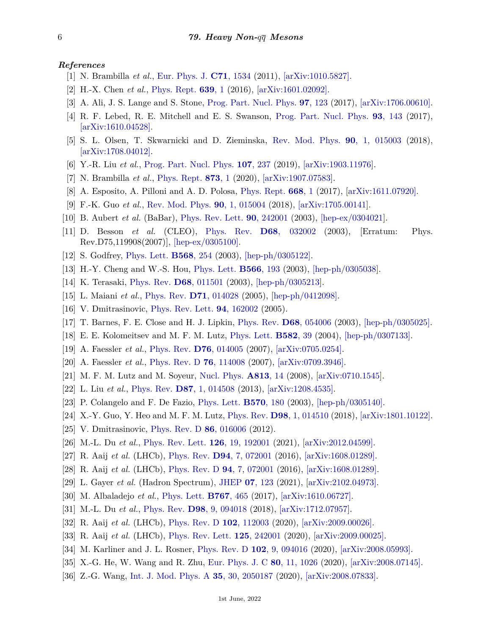## <span id="page-5-0"></span>*References*

- [1] N. Brambilla *et al.*, [Eur. Phys. J.](http://doi.org/10.1140/epjc/s10052-010-1534-9) **C71**[, 1534](http://doi.org/10.1140/epjc/s10052-010-1534-9) (2011), [\[arXiv:1010.5827\].](https://arxiv.org/abs/1010.5827)
- [2] H.-X. Chen *et al.*, [Phys. Rept.](http://doi.org/10.1016/j.physrep.2016.05.004) **[639](http://doi.org/10.1016/j.physrep.2016.05.004)**, 1 (2016), [\[arXiv:1601.02092\].](https://arxiv.org/abs/1601.02092)
- [3] A. Ali, J. S. Lange and S. Stone, [Prog. Part. Nucl. Phys.](http://doi.org/10.1016/j.ppnp.2017.08.003) **97**[, 123](http://doi.org/10.1016/j.ppnp.2017.08.003) (2017), [\[arXiv:1706.00610\].](https://arxiv.org/abs/1706.00610)
- [4] R. F. Lebed, R. E. Mitchell and E. S. Swanson, [Prog. Part. Nucl. Phys.](http://doi.org/10.1016/j.ppnp.2016.11.003) **93**[, 143](http://doi.org/10.1016/j.ppnp.2016.11.003) (2017), [\[arXiv:1610.04528\].](https://arxiv.org/abs/1610.04528)
- [5] S. L. Olsen, T. Skwarnicki and D. Zieminska, [Rev. Mod. Phys.](http://doi.org/10.1103/RevModPhys.90.015003) **90**[, 1, 015003](http://doi.org/10.1103/RevModPhys.90.015003) (2018), [\[arXiv:1708.04012\].](https://arxiv.org/abs/1708.04012)
- [6] Y.-R. Liu *et al.*, [Prog. Part. Nucl. Phys.](http://doi.org/10.1016/j.ppnp.2019.04.003) **107**[, 237](http://doi.org/10.1016/j.ppnp.2019.04.003) (2019), [\[arXiv:1903.11976\].](https://arxiv.org/abs/1903.11976)
- <span id="page-5-1"></span>[7] N. Brambilla *et al.*, [Phys. Rept.](http://doi.org/10.1016/j.physrep.2020.05.001) **[873](http://doi.org/10.1016/j.physrep.2020.05.001)**, 1 (2020), [\[arXiv:1907.07583\].](https://arxiv.org/abs/1907.07583)
- <span id="page-5-2"></span>[8] A. Esposito, A. Pilloni and A. D. Polosa, [Phys. Rept.](http://doi.org/10.1016/j.physrep.2016.11.002) **[668](http://doi.org/10.1016/j.physrep.2016.11.002)**, 1 (2017), [\[arXiv:1611.07920\].](https://arxiv.org/abs/1611.07920)
- <span id="page-5-3"></span>[9] F.-K. Guo *et al.*, [Rev. Mod. Phys.](http://doi.org/10.1103/RevModPhys.90.015004) **90**[, 1, 015004](http://doi.org/10.1103/RevModPhys.90.015004) (2018), [\[arXiv:1705.00141\].](https://arxiv.org/abs/1705.00141)
- <span id="page-5-4"></span>[10] B. Aubert *et al.* (BaBar), [Phys. Rev. Lett.](http://doi.org/10.1103/PhysRevLett.90.242001) **90**[, 242001](http://doi.org/10.1103/PhysRevLett.90.242001) (2003), [\[hep-ex/0304021\].](https://arxiv.org/abs/hep-ex/0304021)
- <span id="page-5-5"></span>[11] D. Besson *et al.* (CLEO), [Phys. Rev.](http://doi.org/10.1103/PhysRevD.68.032002) **D68**[, 032002](http://doi.org/10.1103/PhysRevD.68.032002) (2003), [Erratum: Phys. Rev.D75,119908(2007)], [\[hep-ex/0305100\].](https://arxiv.org/abs/hep-ex/0305100)
- <span id="page-5-6"></span>[12] S. Godfrey, [Phys. Lett.](http://doi.org/10.1016/j.physletb.2003.06.049) **[B568](http://doi.org/10.1016/j.physletb.2003.06.049)**, 254 (2003), [\[hep-ph/0305122\].](https://arxiv.org/abs/hep-ph/0305122)
- <span id="page-5-7"></span>[13] H.-Y. Cheng and W.-S. Hou, [Phys. Lett.](http://doi.org/10.1016/S0370-2693(03)00834-7) **[B566](http://doi.org/10.1016/S0370-2693(03)00834-7)**, 193 (2003), [\[hep-ph/0305038\].](https://arxiv.org/abs/hep-ph/0305038)
- [14] K. Terasaki, [Phys. Rev.](http://doi.org/10.1103/PhysRevD.68.011501) **D68**[, 011501](http://doi.org/10.1103/PhysRevD.68.011501) (2003), [\[hep-ph/0305213\].](https://arxiv.org/abs/hep-ph/0305213)
- <span id="page-5-27"></span>[15] L. Maiani *et al.*, [Phys. Rev.](http://doi.org/10.1103/PhysRevD.71.014028) **D71**[, 014028](http://doi.org/10.1103/PhysRevD.71.014028) (2005), [\[hep-ph/0412098\].](https://arxiv.org/abs/hep-ph/0412098)
- <span id="page-5-8"></span>[16] V. Dmitrasinovic, [Phys. Rev. Lett.](http://doi.org/10.1103/PhysRevLett.94.162002) **94**[, 162002](http://doi.org/10.1103/PhysRevLett.94.162002) (2005).
- <span id="page-5-9"></span>[17] T. Barnes, F. E. Close and H. J. Lipkin, [Phys. Rev.](http://doi.org/10.1103/PhysRevD.68.054006) **D68**[, 054006](http://doi.org/10.1103/PhysRevD.68.054006) (2003), [\[hep-ph/0305025\].](https://arxiv.org/abs/hep-ph/0305025)
- <span id="page-5-20"></span>[18] E. E. Kolomeitsev and M. F. M. Lutz, [Phys. Lett.](http://doi.org/10.1016/j.physletb.2003.10.118) **[B582](http://doi.org/10.1016/j.physletb.2003.10.118)**, 39 (2004), [\[hep-ph/0307133\].](https://arxiv.org/abs/hep-ph/0307133)
- <span id="page-5-12"></span>[19] A. Faessler *et al.*, [Phys. Rev.](http://doi.org/10.1103/PhysRevD.76.014005) **D76**[, 014005](http://doi.org/10.1103/PhysRevD.76.014005) (2007), [\[arXiv:0705.0254\].](https://arxiv.org/abs/0705.0254)
- [20] A. Faessler *et al.*, [Phys. Rev. D](http://doi.org/10.1103/PhysRevD.76.114008) **76**[, 114008](http://doi.org/10.1103/PhysRevD.76.114008) (2007), [\[arXiv:0709.3946\].](https://arxiv.org/abs/0709.3946)
- <span id="page-5-13"></span>[21] M. F. M. Lutz and M. Soyeur, [Nucl. Phys.](http://doi.org/10.1016/j.nuclphysa.2008.09.003) **[A813](http://doi.org/10.1016/j.nuclphysa.2008.09.003)**, 14 (2008), [\[arXiv:0710.1545\].](https://arxiv.org/abs/0710.1545)
- <span id="page-5-10"></span>[22] L. Liu *et al.*, [Phys. Rev.](http://doi.org/10.1103/PhysRevD.87.014508) **D87**[, 1, 014508](http://doi.org/10.1103/PhysRevD.87.014508) (2013), [\[arXiv:1208.4535\].](https://arxiv.org/abs/1208.4535)
- <span id="page-5-11"></span>[23] P. Colangelo and F. De Fazio, [Phys. Lett.](http://doi.org/10.1016/j.physletb.2003.08.003) **[B570](http://doi.org/10.1016/j.physletb.2003.08.003)**, 180 (2003), [\[hep-ph/0305140\].](https://arxiv.org/abs/hep-ph/0305140)
- <span id="page-5-14"></span>[24] X.-Y. Guo, Y. Heo and M. F. M. Lutz, [Phys. Rev.](http://doi.org/10.1103/PhysRevD.98.014510) **D98**[, 1, 014510](http://doi.org/10.1103/PhysRevD.98.014510) (2018), [\[arXiv:1801.10122\].](https://arxiv.org/abs/1801.10122)
- <span id="page-5-15"></span>[25] V. Dmitrasinovic, [Phys. Rev. D](http://doi.org/10.1103/PhysRevD.86.016006) **86**[, 016006](http://doi.org/10.1103/PhysRevD.86.016006) (2012).
- <span id="page-5-16"></span>[26] M.-L. Du *et al.*, [Phys. Rev. Lett.](http://doi.org/10.1103/PhysRevLett.126.192001) **126**[, 19, 192001](http://doi.org/10.1103/PhysRevLett.126.192001) (2021), [\[arXiv:2012.04599\].](https://arxiv.org/abs/2012.04599)
- <span id="page-5-17"></span>[27] R. Aaij *et al.* (LHCb), [Phys. Rev.](http://doi.org/10.1103/PhysRevD.94.072001) **D94**[, 7, 072001](http://doi.org/10.1103/PhysRevD.94.072001) (2016), [\[arXiv:1608.01289\].](https://arxiv.org/abs/1608.01289)
- <span id="page-5-18"></span>[28] R. Aaij *et al.* (LHCb), [Phys. Rev. D](http://doi.org/10.1103/PhysRevD.94.072001) **94**[, 7, 072001](http://doi.org/10.1103/PhysRevD.94.072001) (2016), [\[arXiv:1608.01289\].](https://arxiv.org/abs/1608.01289)
- <span id="page-5-19"></span>[29] L. Gayer *et al.* (Hadron Spectrum), [JHEP](http://doi.org/10.1007/JHEP07(2021)123) **07**[, 123](http://doi.org/10.1007/JHEP07(2021)123) (2021), [\[arXiv:2102.04973\].](https://arxiv.org/abs/2102.04973)
- <span id="page-5-22"></span><span id="page-5-21"></span>[30] M. Albaladejo *et al.*, [Phys. Lett.](http://doi.org/10.1016/j.physletb.2017.02.036) **[B767](http://doi.org/10.1016/j.physletb.2017.02.036)**, 465 (2017), [\[arXiv:1610.06727\].](https://arxiv.org/abs/1610.06727)
- <span id="page-5-23"></span>[31] M.-L. Du *et al.*, [Phys. Rev.](http://doi.org/10.1103/PhysRevD.98.094018) **D98**[, 9, 094018](http://doi.org/10.1103/PhysRevD.98.094018) (2018), [\[arXiv:1712.07957\].](https://arxiv.org/abs/1712.07957)
- [32] R. Aaij *et al.* (LHCb), [Phys. Rev. D](http://doi.org/10.1103/PhysRevD.102.112003) **102**[, 112003](http://doi.org/10.1103/PhysRevD.102.112003) (2020), [\[arXiv:2009.00026\].](https://arxiv.org/abs/2009.00026)
- <span id="page-5-25"></span><span id="page-5-24"></span>[33] R. Aaij *et al.* (LHCb), [Phys. Rev. Lett.](http://doi.org/10.1103/PhysRevLett.125.242001) **125**[, 242001](http://doi.org/10.1103/PhysRevLett.125.242001) (2020), [\[arXiv:2009.00025\].](https://arxiv.org/abs/2009.00025)
- [34] M. Karliner and J. L. Rosner, [Phys. Rev. D](http://doi.org/10.1103/PhysRevD.102.094016) **102**[, 9, 094016](http://doi.org/10.1103/PhysRevD.102.094016) (2020), [\[arXiv:2008.05993\].](https://arxiv.org/abs/2008.05993)
- [35] X.-G. He, W. Wang and R. Zhu, [Eur. Phys. J. C](http://doi.org/10.1140/epjc/s10052-020-08597-1) **80**[, 11, 1026](http://doi.org/10.1140/epjc/s10052-020-08597-1) (2020), [\[arXiv:2008.07145\].](https://arxiv.org/abs/2008.07145)
- <span id="page-5-26"></span>[36] Z.-G. Wang, [Int. J. Mod. Phys. A](http://doi.org/10.1142/S0217751X20501870) **35**[, 30, 2050187](http://doi.org/10.1142/S0217751X20501870) (2020), [\[arXiv:2008.07833\].](https://arxiv.org/abs/2008.07833)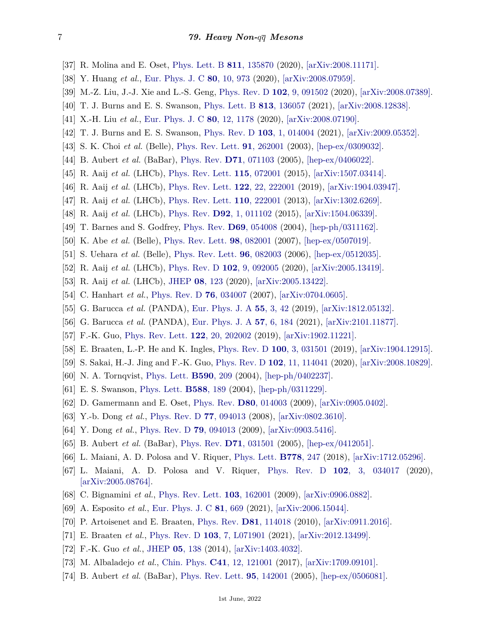- <span id="page-6-0"></span>[37] R. Molina and E. Oset, [Phys. Lett. B](http://doi.org/10.1016/j.physletb.2020.135870) **811**[, 135870](http://doi.org/10.1016/j.physletb.2020.135870) (2020), [\[arXiv:2008.11171\].](https://arxiv.org/abs/2008.11171)
- [38] Y. Huang *et al.*, [Eur. Phys. J. C](http://doi.org/10.1140/epjc/s10052-020-08516-4) **80**[, 10, 973](http://doi.org/10.1140/epjc/s10052-020-08516-4) (2020), [\[arXiv:2008.07959\].](https://arxiv.org/abs/2008.07959)
- <span id="page-6-1"></span>[39] M.-Z. Liu, J.-J. Xie and L.-S. Geng, [Phys. Rev. D](http://doi.org/10.1103/PhysRevD.102.091502) **102**[, 9, 091502](http://doi.org/10.1103/PhysRevD.102.091502) (2020), [\[arXiv:2008.07389\].](https://arxiv.org/abs/2008.07389)
- <span id="page-6-2"></span>[40] T. J. Burns and E. S. Swanson, [Phys. Lett. B](http://doi.org/10.1016/j.physletb.2020.136057) **813**[, 136057](http://doi.org/10.1016/j.physletb.2020.136057) (2021), [\[arXiv:2008.12838\].](https://arxiv.org/abs/2008.12838)
- <span id="page-6-3"></span>[41] X.-H. Liu *et al.*, [Eur. Phys. J. C](http://doi.org/10.1140/epjc/s10052-020-08762-6) **80**[, 12, 1178](http://doi.org/10.1140/epjc/s10052-020-08762-6) (2020), [\[arXiv:2008.07190\].](https://arxiv.org/abs/2008.07190)
- <span id="page-6-4"></span>[42] T. J. Burns and E. S. Swanson, [Phys. Rev. D](http://doi.org/10.1103/PhysRevD.103.014004) **103**[, 1, 014004](http://doi.org/10.1103/PhysRevD.103.014004) (2021), [\[arXiv:2009.05352\].](https://arxiv.org/abs/2009.05352)
- <span id="page-6-5"></span>[43] S. K. Choi *et al.* (Belle), [Phys. Rev. Lett.](http://doi.org/10.1103/PhysRevLett.91.262001) **91**[, 262001](http://doi.org/10.1103/PhysRevLett.91.262001) (2003), [\[hep-ex/0309032\].](https://arxiv.org/abs/hep-ex/0309032)
- <span id="page-6-6"></span>[44] B. Aubert *et al.* (BaBar), [Phys. Rev.](http://doi.org/10.1103/PhysRevD.71.071103) **D71**[, 071103](http://doi.org/10.1103/PhysRevD.71.071103) (2005), [\[hep-ex/0406022\].](https://arxiv.org/abs/hep-ex/0406022)
- <span id="page-6-7"></span>[45] R. Aaij *et al.* (LHCb), [Phys. Rev. Lett.](http://doi.org/10.1103/PhysRevLett.115.072001) **115**[, 072001](http://doi.org/10.1103/PhysRevLett.115.072001) (2015), [\[arXiv:1507.03414\].](https://arxiv.org/abs/1507.03414)
- <span id="page-6-8"></span>[46] R. Aaij *et al.* (LHCb), [Phys. Rev. Lett.](http://doi.org/10.1103/PhysRevLett.122.222001) **122**[, 22, 222001](http://doi.org/10.1103/PhysRevLett.122.222001) (2019), [\[arXiv:1904.03947\].](https://arxiv.org/abs/1904.03947)
- <span id="page-6-9"></span>[47] R. Aaij *et al.* (LHCb), [Phys. Rev. Lett.](http://doi.org/10.1103/PhysRevLett.110.222001) **110**[, 222001](http://doi.org/10.1103/PhysRevLett.110.222001) (2013), [\[arXiv:1302.6269\].](https://arxiv.org/abs/1302.6269)
- <span id="page-6-10"></span>[48] R. Aaij *et al.* (LHCb), [Phys. Rev.](http://doi.org/10.1103/PhysRevD.92.011102) **D92**[, 1, 011102](http://doi.org/10.1103/PhysRevD.92.011102) (2015), [\[arXiv:1504.06339\].](https://arxiv.org/abs/1504.06339)
- <span id="page-6-11"></span>[49] T. Barnes and S. Godfrey, [Phys. Rev.](http://doi.org/10.1103/PhysRevD.69.054008) **D69**[, 054008](http://doi.org/10.1103/PhysRevD.69.054008) (2004), [\[hep-ph/0311162\].](https://arxiv.org/abs/hep-ph/0311162)
- <span id="page-6-12"></span>[50] K. Abe *et al.* (Belle), [Phys. Rev. Lett.](http://doi.org/10.1103/PhysRevLett.98.082001) **98**[, 082001](http://doi.org/10.1103/PhysRevLett.98.082001) (2007), [\[hep-ex/0507019\].](https://arxiv.org/abs/hep-ex/0507019)
- <span id="page-6-13"></span>[51] S. Uehara *et al.* (Belle), [Phys. Rev. Lett.](http://doi.org/10.1103/PhysRevLett.96.082003) **96**[, 082003](http://doi.org/10.1103/PhysRevLett.96.082003) (2006), [\[hep-ex/0512035\].](https://arxiv.org/abs/hep-ex/0512035)
- <span id="page-6-14"></span>[52] R. Aaij *et al.* (LHCb), [Phys. Rev. D](http://doi.org/10.1103/PhysRevD.102.092005) **102**[, 9, 092005](http://doi.org/10.1103/PhysRevD.102.092005) (2020), [\[arXiv:2005.13419\].](https://arxiv.org/abs/2005.13419)
- <span id="page-6-15"></span>[53] R. Aaij *et al.* (LHCb), [JHEP](http://doi.org/10.1007/JHEP08(2020)123) **08**[, 123](http://doi.org/10.1007/JHEP08(2020)123) (2020), [\[arXiv:2005.13422\].](https://arxiv.org/abs/2005.13422)
- <span id="page-6-16"></span>[54] C. Hanhart *et al.*, [Phys. Rev. D](http://doi.org/10.1103/PhysRevD.76.034007) **76**[, 034007](http://doi.org/10.1103/PhysRevD.76.034007) (2007), [\[arXiv:0704.0605\].](https://arxiv.org/abs/0704.0605)
- <span id="page-6-17"></span>[55] G. Barucca *et al.* (PANDA), [Eur. Phys. J. A](http://doi.org/10.1140/epja/i2019-12718-2) **55**[, 3, 42](http://doi.org/10.1140/epja/i2019-12718-2) (2019), [\[arXiv:1812.05132\].](https://arxiv.org/abs/1812.05132)
- <span id="page-6-18"></span>[56] G. Barucca *et al.* (PANDA), [Eur. Phys. J. A](http://doi.org/10.1140/epja/s10050-021-00475-y) **57**[, 6, 184](http://doi.org/10.1140/epja/s10050-021-00475-y) (2021), [\[arXiv:2101.11877\].](https://arxiv.org/abs/2101.11877)
- <span id="page-6-19"></span>[57] F.-K. Guo, [Phys. Rev. Lett.](http://doi.org/10.1103/PhysRevLett.122.202002) **122**[, 20, 202002](http://doi.org/10.1103/PhysRevLett.122.202002) (2019), [\[arXiv:1902.11221\].](https://arxiv.org/abs/1902.11221)
- [58] E. Braaten, L.-P. He and K. Ingles, [Phys. Rev. D](http://doi.org/10.1103/PhysRevD.100.031501) **100**[, 3, 031501](http://doi.org/10.1103/PhysRevD.100.031501) (2019), [\[arXiv:1904.12915\].](https://arxiv.org/abs/1904.12915)
- <span id="page-6-20"></span>[59] S. Sakai, H.-J. Jing and F.-K. Guo, [Phys. Rev. D](http://doi.org/10.1103/PhysRevD.102.114041) **102**[, 11, 114041](http://doi.org/10.1103/PhysRevD.102.114041) (2020), [\[arXiv:2008.10829\].](https://arxiv.org/abs/2008.10829)
- <span id="page-6-21"></span>[60] N. A. Tornqvist, [Phys. Lett.](http://doi.org/10.1016/j.physletb.2004.03.077) **[B590](http://doi.org/10.1016/j.physletb.2004.03.077)**, 209 (2004), [\[hep-ph/0402237\].](https://arxiv.org/abs/hep-ph/0402237)
- <span id="page-6-22"></span>[61] E. S. Swanson, [Phys. Lett.](http://doi.org/10.1016/j.physletb.2004.03.033) **[B588](http://doi.org/10.1016/j.physletb.2004.03.033)**, 189 (2004), [\[hep-ph/0311229\].](https://arxiv.org/abs/hep-ph/0311229)
- <span id="page-6-23"></span>[62] D. Gamermann and E. Oset, [Phys. Rev.](http://doi.org/10.1103/PhysRevD.80.014003) **D80**[, 014003](http://doi.org/10.1103/PhysRevD.80.014003) (2009), [\[arXiv:0905.0402\].](https://arxiv.org/abs/0905.0402)
- <span id="page-6-24"></span>[63] Y.-b. Dong *et al.*, [Phys. Rev. D](http://doi.org/10.1103/PhysRevD.77.094013) **77**[, 094013](http://doi.org/10.1103/PhysRevD.77.094013) (2008), [\[arXiv:0802.3610\].](https://arxiv.org/abs/0802.3610)
- <span id="page-6-25"></span>[64] Y. Dong *et al.*, [Phys. Rev. D](http://doi.org/10.1103/PhysRevD.79.094013) **79**[, 094013](http://doi.org/10.1103/PhysRevD.79.094013) (2009), [\[arXiv:0903.5416\].](https://arxiv.org/abs/0903.5416)
- <span id="page-6-26"></span>[65] B. Aubert *et al.* (BaBar), [Phys. Rev.](http://doi.org/10.1103/PhysRevD.71.031501) **D71**[, 031501](http://doi.org/10.1103/PhysRevD.71.031501) (2005), [\[hep-ex/0412051\].](https://arxiv.org/abs/hep-ex/0412051)
- <span id="page-6-27"></span>[66] L. Maiani, A. D. Polosa and V. Riquer, [Phys. Lett.](http://doi.org/10.1016/j.physletb.2018.01.039) **[B778](http://doi.org/10.1016/j.physletb.2018.01.039)**, 247 (2018), [\[arXiv:1712.05296\].](https://arxiv.org/abs/1712.05296)
- <span id="page-6-28"></span>[67] L. Maiani, A. D. Polosa and V. Riquer, [Phys. Rev. D](http://doi.org/10.1103/PhysRevD.102.034017) **102**[, 3, 034017](http://doi.org/10.1103/PhysRevD.102.034017) (2020), [\[arXiv:2005.08764\].](https://arxiv.org/abs/2005.08764)
- <span id="page-6-29"></span>[68] C. Bignamini *et al.*, [Phys. Rev. Lett.](http://doi.org/10.1103/PhysRevLett.103.162001) **103**[, 162001](http://doi.org/10.1103/PhysRevLett.103.162001) (2009), [\[arXiv:0906.0882\].](https://arxiv.org/abs/0906.0882)
- <span id="page-6-30"></span>[69] A. Esposito *et al.*, [Eur. Phys. J. C](http://doi.org/10.1140/epjc/s10052-021-09425-w) **81**[, 669](http://doi.org/10.1140/epjc/s10052-021-09425-w) (2021), [\[arXiv:2006.15044\].](https://arxiv.org/abs/2006.15044)
- <span id="page-6-31"></span>[70] P. Artoisenet and E. Braaten, [Phys. Rev.](http://doi.org/10.1103/PhysRevD.81.114018) **D81**[, 114018](http://doi.org/10.1103/PhysRevD.81.114018) (2010), [\[arXiv:0911.2016\].](https://arxiv.org/abs/0911.2016)
- <span id="page-6-32"></span>[71] E. Braaten *et al.*, [Phys. Rev. D](http://doi.org/10.1103/PhysRevD.103.L071901) **103**[, 7, L071901](http://doi.org/10.1103/PhysRevD.103.L071901) (2021), [\[arXiv:2012.13499\].](https://arxiv.org/abs/2012.13499)
- <span id="page-6-33"></span>[72] F.-K. Guo *et al.*, [JHEP](http://doi.org/10.1007/JHEP05(2014)138) **05**[, 138](http://doi.org/10.1007/JHEP05(2014)138) (2014), [\[arXiv:1403.4032\].](https://arxiv.org/abs/1403.4032)
- <span id="page-6-34"></span>[73] M. Albaladejo *et al.*, [Chin. Phys.](http://doi.org/10.1088/1674-1137/41/12/121001) **C41**[, 12, 121001](http://doi.org/10.1088/1674-1137/41/12/121001) (2017), [\[arXiv:1709.09101\].](https://arxiv.org/abs/1709.09101)
- <span id="page-6-35"></span>[74] B. Aubert *et al.* (BaBar), [Phys. Rev. Lett.](http://doi.org/10.1103/PhysRevLett.95.142001) **95**[, 142001](http://doi.org/10.1103/PhysRevLett.95.142001) (2005), [\[hep-ex/0506081\].](https://arxiv.org/abs/hep-ex/0506081)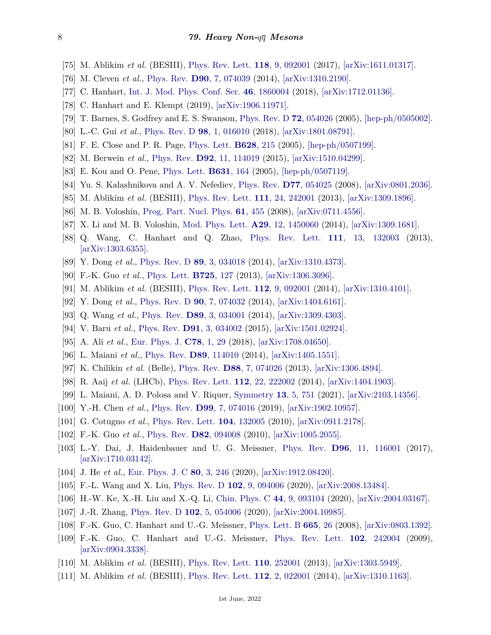- <span id="page-7-0"></span>[75] M. Ablikim *et al.* (BESIII), [Phys. Rev. Lett.](http://doi.org/10.1103/PhysRevLett.118.092001) **118**[, 9, 092001](http://doi.org/10.1103/PhysRevLett.118.092001) (2017), [\[arXiv:1611.01317\].](https://arxiv.org/abs/1611.01317)
- <span id="page-7-1"></span>[76] M. Cleven *et al.*, [Phys. Rev.](http://doi.org/10.1103/PhysRevD.90.074039) **D90**[, 7, 074039](http://doi.org/10.1103/PhysRevD.90.074039) (2014), [\[arXiv:1310.2190\].](https://arxiv.org/abs/1310.2190)
- <span id="page-7-2"></span>[77] C. Hanhart, [Int. J. Mod. Phys. Conf. Ser.](http://doi.org/10.1142/S2010194518600042) **46**[, 1860004](http://doi.org/10.1142/S2010194518600042) (2018), [\[arXiv:1712.01136\].](https://arxiv.org/abs/1712.01136)
- <span id="page-7-3"></span>[78] C. Hanhart and E. Klempt (2019), [\[arXiv:1906.11971\].](https://arxiv.org/abs/1906.11971)
- <span id="page-7-4"></span>[79] T. Barnes, S. Godfrey and E. S. Swanson, [Phys. Rev. D](http://doi.org/10.1103/PhysRevD.72.054026) **72**[, 054026](http://doi.org/10.1103/PhysRevD.72.054026) (2005), [\[hep-ph/0505002\].](https://arxiv.org/abs/hep-ph/0505002)
- <span id="page-7-5"></span>[80] L.-C. Gui *et al.*, [Phys. Rev. D](http://doi.org/10.1103/PhysRevD.98.016010) **98**[, 1, 016010](http://doi.org/10.1103/PhysRevD.98.016010) (2018), [\[arXiv:1801.08791\].](https://arxiv.org/abs/1801.08791)
- <span id="page-7-6"></span>[81] F. E. Close and P. R. Page, [Phys. Lett.](http://doi.org/10.1016/j.physletb.2005.09.016) **[B628](http://doi.org/10.1016/j.physletb.2005.09.016)**, 215 (2005), [\[hep-ph/0507199\].](https://arxiv.org/abs/hep-ph/0507199)
- <span id="page-7-7"></span>[82] M. Berwein *et al.*, [Phys. Rev.](http://doi.org/10.1103/PhysRevD.92.114019) **D92**[, 11, 114019](http://doi.org/10.1103/PhysRevD.92.114019) (2015), [\[arXiv:1510.04299\].](https://arxiv.org/abs/1510.04299)
- <span id="page-7-8"></span>[83] E. Kou and O. Pene, [Phys. Lett.](http://doi.org/10.1016/j.physletb.2005.09.013) **[B631](http://doi.org/10.1016/j.physletb.2005.09.013)**, 164 (2005), [\[hep-ph/0507119\].](https://arxiv.org/abs/hep-ph/0507119)
- <span id="page-7-9"></span>[84] Yu. S. Kalashnikova and A. V. Nefediev, [Phys. Rev.](http://doi.org/10.1103/PhysRevD.77.054025) **D77**[, 054025](http://doi.org/10.1103/PhysRevD.77.054025) (2008), [\[arXiv:0801.2036\].](https://arxiv.org/abs/0801.2036)
- <span id="page-7-10"></span>[85] M. Ablikim *et al.* (BESIII), [Phys. Rev. Lett.](http://doi.org/10.1103/PhysRevLett.111.242001) **111**[, 24, 242001](http://doi.org/10.1103/PhysRevLett.111.242001) (2013), [\[arXiv:1309.1896\].](https://arxiv.org/abs/1309.1896)
- <span id="page-7-11"></span>[86] M. B. Voloshin, [Prog. Part. Nucl. Phys.](http://doi.org/10.1016/j.ppnp.2008.02.001) **61**[, 455](http://doi.org/10.1016/j.ppnp.2008.02.001) (2008), [\[arXiv:0711.4556\].](https://arxiv.org/abs/0711.4556)
- <span id="page-7-12"></span>[87] X. Li and M. B. Voloshin, [Mod. Phys. Lett.](http://doi.org/10.1142/S0217732314500606) **A29**[, 12, 1450060](http://doi.org/10.1142/S0217732314500606) (2014), [\[arXiv:1309.1681\].](https://arxiv.org/abs/1309.1681)
- <span id="page-7-13"></span>[88] Q. Wang, C. Hanhart and Q. Zhao, [Phys. Rev. Lett.](http://doi.org/10.1103/PhysRevLett.111.132003) **111**[, 13, 132003](http://doi.org/10.1103/PhysRevLett.111.132003) (2013), [\[arXiv:1303.6355\].](https://arxiv.org/abs/1303.6355)
- <span id="page-7-14"></span>[89] Y. Dong *et al.*, [Phys. Rev. D](http://doi.org/10.1103/PhysRevD.89.034018) **89**[, 3, 034018](http://doi.org/10.1103/PhysRevD.89.034018) (2014), [\[arXiv:1310.4373\].](https://arxiv.org/abs/1310.4373)
- <span id="page-7-16"></span><span id="page-7-15"></span>[90] F.-K. Guo *et al.*, [Phys. Lett.](http://doi.org/10.1016/j.physletb.2013.06.053) **[B725](http://doi.org/10.1016/j.physletb.2013.06.053)**, 127 (2013), [\[arXiv:1306.3096\].](https://arxiv.org/abs/1306.3096)
- [91] M. Ablikim *et al.* (BESIII), [Phys. Rev. Lett.](http://doi.org/10.1103/PhysRevLett.112.092001) **112**[, 9, 092001](http://doi.org/10.1103/PhysRevLett.112.092001) (2014), [\[arXiv:1310.4101\].](https://arxiv.org/abs/1310.4101)
- <span id="page-7-18"></span><span id="page-7-17"></span>[92] Y. Dong *et al.*, [Phys. Rev. D](http://doi.org/10.1103/PhysRevD.90.074032) **90**[, 7, 074032](http://doi.org/10.1103/PhysRevD.90.074032) (2014), [\[arXiv:1404.6161\].](https://arxiv.org/abs/1404.6161)
- [93] Q. Wang *et al.*, [Phys. Rev.](http://doi.org/10.1103/PhysRevD.89.034001) **D89**[, 3, 034001](http://doi.org/10.1103/PhysRevD.89.034001) (2014), [\[arXiv:1309.4303\].](https://arxiv.org/abs/1309.4303)
- <span id="page-7-19"></span>[94] V. Baru *et al.*, [Phys. Rev.](http://doi.org/10.1103/PhysRevD.91.034002) **D91**[, 3, 034002](http://doi.org/10.1103/PhysRevD.91.034002) (2015), [\[arXiv:1501.02924\].](https://arxiv.org/abs/1501.02924)
- <span id="page-7-20"></span>[95] A. Ali *et al.*, [Eur. Phys. J.](http://doi.org/10.1140/epjc/s10052-017-5501-6) **C78**[, 1, 29](http://doi.org/10.1140/epjc/s10052-017-5501-6) (2018), [\[arXiv:1708.04650\].](https://arxiv.org/abs/1708.04650)
- <span id="page-7-21"></span>[96] L. Maiani *et al.*, [Phys. Rev.](http://doi.org/10.1103/PhysRevD.89.114010) **D89**[, 114010](http://doi.org/10.1103/PhysRevD.89.114010) (2014), [\[arXiv:1405.1551\].](https://arxiv.org/abs/1405.1551)
- <span id="page-7-22"></span>[97] K. Chilikin *et al.* (Belle), [Phys. Rev.](http://doi.org/10.1103/PhysRevD.88.074026) **D88**[, 7, 074026](http://doi.org/10.1103/PhysRevD.88.074026) (2013), [\[arXiv:1306.4894\].](https://arxiv.org/abs/1306.4894)
- <span id="page-7-23"></span>[98] R. Aaij *et al.* (LHCb), [Phys. Rev. Lett.](http://doi.org/10.1103/PhysRevLett.112.222002) **112**[, 22, 222002](http://doi.org/10.1103/PhysRevLett.112.222002) (2014), [\[arXiv:1404.1903\].](https://arxiv.org/abs/1404.1903)
- <span id="page-7-24"></span>[99] L. Maiani, A. D. Polosa and V. Riquer, [Symmetry](http://doi.org/10.3390/sym13050751) **13**[, 5, 751](http://doi.org/10.3390/sym13050751) (2021), [\[arXiv:2103.14356\].](https://arxiv.org/abs/2103.14356)
- <span id="page-7-25"></span>[100] Y.-H. Chen *et al.*, [Phys. Rev.](http://doi.org/10.1103/PhysRevD.99.074016) **D99**[, 7, 074016](http://doi.org/10.1103/PhysRevD.99.074016) (2019), [\[arXiv:1902.10957\].](https://arxiv.org/abs/1902.10957)
- <span id="page-7-26"></span>[101] G. Cotugno *et al.*, [Phys. Rev. Lett.](http://doi.org/10.1103/PhysRevLett.104.132005) **104**[, 132005](http://doi.org/10.1103/PhysRevLett.104.132005) (2010), [\[arXiv:0911.2178\].](https://arxiv.org/abs/0911.2178)
- [102] F.-K. Guo *et al.*, [Phys. Rev.](http://doi.org/10.1103/PhysRevD.82.094008) **D82**[, 094008](http://doi.org/10.1103/PhysRevD.82.094008) (2010), [\[arXiv:1005.2055\].](https://arxiv.org/abs/1005.2055)
- <span id="page-7-27"></span>[103] L.-Y. Dai, J. Haidenbauer and U. G. Meissner, [Phys. Rev.](http://doi.org/10.1103/PhysRevD.96.116001) **D96**[, 11, 116001](http://doi.org/10.1103/PhysRevD.96.116001) (2017), [\[arXiv:1710.03142\].](https://arxiv.org/abs/1710.03142)
- <span id="page-7-28"></span>[104] J. He *et al.*, [Eur. Phys. J. C](http://doi.org/10.1140/epjc/s10052-020-7820-2) **80**[, 3, 246](http://doi.org/10.1140/epjc/s10052-020-7820-2) (2020), [\[arXiv:1912.08420\].](https://arxiv.org/abs/1912.08420)
- <span id="page-7-29"></span>[105] F.-L. Wang and X. Liu, [Phys. Rev. D](http://doi.org/10.1103/PhysRevD.102.094006) **102**[, 9, 094006](http://doi.org/10.1103/PhysRevD.102.094006) (2020), [\[arXiv:2008.13484\].](https://arxiv.org/abs/2008.13484)
- <span id="page-7-30"></span>[106] H.-W. Ke, X.-H. Liu and X.-Q. Li, [Chin. Phys. C](http://doi.org/10.1088/1674-1137/44/9/093104) **44**[, 9, 093104](http://doi.org/10.1088/1674-1137/44/9/093104) (2020), [\[arXiv:2004.03167\].](https://arxiv.org/abs/2004.03167)
- <span id="page-7-31"></span>[107] J.-R. Zhang, [Phys. Rev. D](http://doi.org/10.1103/PhysRevD.102.054006) **102**[, 5, 054006](http://doi.org/10.1103/PhysRevD.102.054006) (2020), [\[arXiv:2004.10985\].](https://arxiv.org/abs/2004.10985)
- <span id="page-7-32"></span>[108] F.-K. Guo, C. Hanhart and U.-G. Meissner, [Phys. Lett. B](http://doi.org/10.1016/j.physletb.2008.05.057) **[665](http://doi.org/10.1016/j.physletb.2008.05.057)**, 26 (2008), [\[arXiv:0803.1392\].](https://arxiv.org/abs/0803.1392)
- <span id="page-7-33"></span>[109] F.-K. Guo, C. Hanhart and U.-G. Meissner, [Phys. Rev. Lett.](http://doi.org/10.1103/PhysRevLett.102.242004) **102**[, 242004](http://doi.org/10.1103/PhysRevLett.102.242004) (2009), [\[arXiv:0904.3338\].](https://arxiv.org/abs/0904.3338)
- <span id="page-7-34"></span>[110] M. Ablikim *et al.* (BESIII), [Phys. Rev. Lett.](http://doi.org/10.1103/PhysRevLett.110.252001) **110**[, 252001](http://doi.org/10.1103/PhysRevLett.110.252001) (2013), [\[arXiv:1303.5949\].](https://arxiv.org/abs/1303.5949)
- <span id="page-7-35"></span>[111] M. Ablikim *et al.* (BESIII), [Phys. Rev. Lett.](http://doi.org/10.1103/PhysRevLett.112.022001) **112**[, 2, 022001](http://doi.org/10.1103/PhysRevLett.112.022001) (2014), [\[arXiv:1310.1163\].](https://arxiv.org/abs/1310.1163)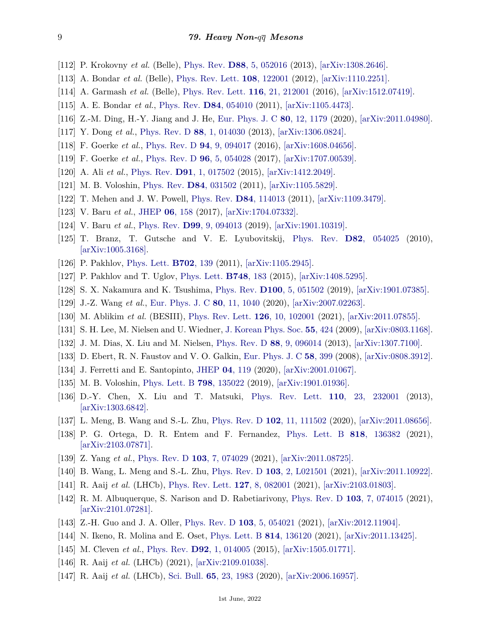- <span id="page-8-0"></span>[112] P. Krokovny *et al.* (Belle), [Phys. Rev.](http://doi.org/10.1103/PhysRevD.88.052016) **D88**[, 5, 052016](http://doi.org/10.1103/PhysRevD.88.052016) (2013), [\[arXiv:1308.2646\].](https://arxiv.org/abs/1308.2646)
- <span id="page-8-1"></span>[113] A. Bondar *et al.* (Belle), [Phys. Rev. Lett.](http://doi.org/10.1103/PhysRevLett.108.122001) **108**[, 122001](http://doi.org/10.1103/PhysRevLett.108.122001) (2012), [\[arXiv:1110.2251\].](https://arxiv.org/abs/1110.2251)
- <span id="page-8-2"></span>[114] A. Garmash *et al.* (Belle), [Phys. Rev. Lett.](http://doi.org/10.1103/PhysRevLett.116.212001) **116**[, 21, 212001](http://doi.org/10.1103/PhysRevLett.116.212001) (2016), [\[arXiv:1512.07419\].](https://arxiv.org/abs/1512.07419)
- <span id="page-8-3"></span>[115] A. E. Bondar *et al.*, [Phys. Rev.](http://doi.org/10.1103/PhysRevD.84.054010) **D84**[, 054010](http://doi.org/10.1103/PhysRevD.84.054010) (2011), [\[arXiv:1105.4473\].](https://arxiv.org/abs/1105.4473)
- <span id="page-8-4"></span>[116] Z.-M. Ding, H.-Y. Jiang and J. He, [Eur. Phys. J. C](http://doi.org/10.1140/epjc/s10052-020-08754-6) **80**[, 12, 1179](http://doi.org/10.1140/epjc/s10052-020-08754-6) (2020), [\[arXiv:2011.04980\].](https://arxiv.org/abs/2011.04980)
- <span id="page-8-5"></span>[117] Y. Dong *et al.*, [Phys. Rev. D](http://doi.org/10.1103/PhysRevD.88.014030) **88**[, 1, 014030](http://doi.org/10.1103/PhysRevD.88.014030) (2013), [\[arXiv:1306.0824\].](https://arxiv.org/abs/1306.0824)
- [118] F. Goerke *et al.*, [Phys. Rev. D](http://doi.org/10.1103/PhysRevD.94.094017) **94**[, 9, 094017](http://doi.org/10.1103/PhysRevD.94.094017) (2016), [\[arXiv:1608.04656\].](https://arxiv.org/abs/1608.04656)
- <span id="page-8-6"></span>[119] F. Goerke *et al.*, [Phys. Rev. D](http://doi.org/10.1103/PhysRevD.96.054028) **96**[, 5, 054028](http://doi.org/10.1103/PhysRevD.96.054028) (2017), [\[arXiv:1707.00539\].](https://arxiv.org/abs/1707.00539)
- <span id="page-8-7"></span>[120] A. Ali *et al.*, [Phys. Rev.](http://doi.org/10.1103/PhysRevD.91.017502) **D91**[, 1, 017502](http://doi.org/10.1103/PhysRevD.91.017502) (2015), [\[arXiv:1412.2049\].](https://arxiv.org/abs/1412.2049)
- <span id="page-8-8"></span>[121] M. B. Voloshin, [Phys. Rev.](http://doi.org/10.1103/PhysRevD.84.031502) **D84**[, 031502](http://doi.org/10.1103/PhysRevD.84.031502) (2011), [\[arXiv:1105.5829\].](https://arxiv.org/abs/1105.5829)
- [122] T. Mehen and J. W. Powell, [Phys. Rev.](http://doi.org/10.1103/PhysRevD.84.114013) **D84**[, 114013](http://doi.org/10.1103/PhysRevD.84.114013) (2011), [\[arXiv:1109.3479\].](https://arxiv.org/abs/1109.3479)
- <span id="page-8-9"></span>[123] V. Baru *et al.*, [JHEP](http://doi.org/10.1007/JHEP06(2017)158) **06**[, 158](http://doi.org/10.1007/JHEP06(2017)158) (2017), [\[arXiv:1704.07332\].](https://arxiv.org/abs/1704.07332)
- <span id="page-8-10"></span>[124] V. Baru *et al.*, [Phys. Rev.](http://doi.org/10.1103/PhysRevD.99.094013) **D99**[, 9, 094013](http://doi.org/10.1103/PhysRevD.99.094013) (2019), [\[arXiv:1901.10319\].](https://arxiv.org/abs/1901.10319)
- <span id="page-8-11"></span>[125] T. Branz, T. Gutsche and V. E. Lyubovitskij, [Phys. Rev.](http://doi.org/10.1103/PhysRevD.82.054025) **D82**[, 054025](http://doi.org/10.1103/PhysRevD.82.054025) (2010), [\[arXiv:1005.3168\].](https://arxiv.org/abs/1005.3168)
- <span id="page-8-12"></span>[126] P. Pakhlov, [Phys. Lett.](http://doi.org/10.1016/j.physletb.2011.06.079) **[B702](http://doi.org/10.1016/j.physletb.2011.06.079)**, 139 (2011), [\[arXiv:1105.2945\].](https://arxiv.org/abs/1105.2945)
- <span id="page-8-13"></span>[127] P. Pakhlov and T. Uglov, [Phys. Lett.](http://doi.org/10.1016/j.physletb.2015.06.074) **[B748](http://doi.org/10.1016/j.physletb.2015.06.074)**, 183 (2015), [\[arXiv:1408.5295\].](https://arxiv.org/abs/1408.5295)
- <span id="page-8-14"></span>[128] S. X. Nakamura and K. Tsushima, [Phys. Rev.](http://doi.org/10.1103/PhysRevD.100.051502) **D100**[, 5, 051502](http://doi.org/10.1103/PhysRevD.100.051502) (2019), [\[arXiv:1901.07385\].](https://arxiv.org/abs/1901.07385)
- <span id="page-8-15"></span>[129] J.-Z. Wang *et al.*, [Eur. Phys. J. C](http://doi.org/10.1140/epjc/s10052-020-08621-4) **80**[, 11, 1040](http://doi.org/10.1140/epjc/s10052-020-08621-4) (2020), [\[arXiv:2007.02263\].](https://arxiv.org/abs/2007.02263)
- <span id="page-8-16"></span>[130] M. Ablikim *et al.* (BESIII), [Phys. Rev. Lett.](http://doi.org/10.1103/PhysRevLett.126.102001) **126**[, 10, 102001](http://doi.org/10.1103/PhysRevLett.126.102001) (2021), [\[arXiv:2011.07855\].](https://arxiv.org/abs/2011.07855)
- <span id="page-8-17"></span>[131] S. H. Lee, M. Nielsen and U. Wiedner, [J. Korean Phys. Soc.](http://doi.org/10.3938/jkps.55.424) **55**[, 424](http://doi.org/10.3938/jkps.55.424) (2009), [\[arXiv:0803.1168\].](https://arxiv.org/abs/0803.1168)
- <span id="page-8-18"></span>[132] J. M. Dias, X. Liu and M. Nielsen, [Phys. Rev. D](http://doi.org/10.1103/PhysRevD.88.096014) **88**[, 9, 096014](http://doi.org/10.1103/PhysRevD.88.096014) (2013), [\[arXiv:1307.7100\].](https://arxiv.org/abs/1307.7100)
- <span id="page-8-19"></span>[133] D. Ebert, R. N. Faustov and V. O. Galkin, [Eur. Phys. J. C](http://doi.org/10.1140/epjc/s10052-008-0754-8) **58**[, 399](http://doi.org/10.1140/epjc/s10052-008-0754-8) (2008), [\[arXiv:0808.3912\].](https://arxiv.org/abs/0808.3912)
- <span id="page-8-20"></span>[134] J. Ferretti and E. Santopinto, [JHEP](http://doi.org/10.1007/JHEP04(2020)119) **04**[, 119](http://doi.org/10.1007/JHEP04(2020)119) (2020), [\[arXiv:2001.01067\].](https://arxiv.org/abs/2001.01067)
- <span id="page-8-21"></span>[135] M. B. Voloshin, [Phys. Lett. B](http://doi.org/10.1016/j.physletb.2019.135022) **798**[, 135022](http://doi.org/10.1016/j.physletb.2019.135022) (2019), [\[arXiv:1901.01936\].](https://arxiv.org/abs/1901.01936)
- <span id="page-8-22"></span>[136] D.-Y. Chen, X. Liu and T. Matsuki, [Phys. Rev. Lett.](http://doi.org/10.1103/PhysRevLett.110.232001) **110**[, 23, 232001](http://doi.org/10.1103/PhysRevLett.110.232001) (2013), [\[arXiv:1303.6842\].](https://arxiv.org/abs/1303.6842)
- <span id="page-8-23"></span>[137] L. Meng, B. Wang and S.-L. Zhu, [Phys. Rev. D](http://doi.org/10.1103/PhysRevD.102.111502) **102**[, 11, 111502](http://doi.org/10.1103/PhysRevD.102.111502) (2020), [\[arXiv:2011.08656\].](https://arxiv.org/abs/2011.08656)
- <span id="page-8-24"></span>[138] P. G. Ortega, D. R. Entem and F. Fernandez, [Phys. Lett. B](http://doi.org/10.1016/j.physletb.2021.136382) **818**[, 136382](http://doi.org/10.1016/j.physletb.2021.136382) (2021), [\[arXiv:2103.07871\].](https://arxiv.org/abs/2103.07871)
- <span id="page-8-25"></span>[139] Z. Yang *et al.*, [Phys. Rev. D](http://doi.org/10.1103/PhysRevD.103.074029) **103**[, 7, 074029](http://doi.org/10.1103/PhysRevD.103.074029) (2021), [\[arXiv:2011.08725\].](https://arxiv.org/abs/2011.08725)
- <span id="page-8-26"></span>[140] B. Wang, L. Meng and S.-L. Zhu, [Phys. Rev. D](http://doi.org/10.1103/PhysRevD.103.L021501) **103**[, 2, L021501](http://doi.org/10.1103/PhysRevD.103.L021501) (2021), [\[arXiv:2011.10922\].](https://arxiv.org/abs/2011.10922)
- <span id="page-8-27"></span>[141] R. Aaij *et al.* (LHCb), [Phys. Rev. Lett.](http://doi.org/10.1103/PhysRevLett.127.082001) **127**[, 8, 082001](http://doi.org/10.1103/PhysRevLett.127.082001) (2021), [\[arXiv:2103.01803\].](https://arxiv.org/abs/2103.01803)
- <span id="page-8-28"></span>[142] R. M. Albuquerque, S. Narison and D. Rabetiarivony, [Phys. Rev. D](http://doi.org/10.1103/PhysRevD.103.074015) **103**[, 7, 074015](http://doi.org/10.1103/PhysRevD.103.074015) (2021), [\[arXiv:2101.07281\].](https://arxiv.org/abs/2101.07281)
- <span id="page-8-29"></span>[143] Z.-H. Guo and J. A. Oller, [Phys. Rev. D](http://doi.org/10.1103/PhysRevD.103.054021) **103**[, 5, 054021](http://doi.org/10.1103/PhysRevD.103.054021) (2021), [\[arXiv:2012.11904\].](https://arxiv.org/abs/2012.11904)
- <span id="page-8-30"></span>[144] N. Ikeno, R. Molina and E. Oset, [Phys. Lett. B](http://doi.org/10.1016/j.physletb.2021.136120) **814**[, 136120](http://doi.org/10.1016/j.physletb.2021.136120) (2021), [\[arXiv:2011.13425\].](https://arxiv.org/abs/2011.13425)
- <span id="page-8-31"></span>[145] M. Cleven *et al.*, [Phys. Rev.](http://doi.org/10.1103/PhysRevD.92.014005) **D92**[, 1, 014005](http://doi.org/10.1103/PhysRevD.92.014005) (2015), [\[arXiv:1505.01771\].](https://arxiv.org/abs/1505.01771)
- <span id="page-8-32"></span>[146] R. Aaij *et al.* (LHCb) (2021), [\[arXiv:2109.01038\].](https://arxiv.org/abs/2109.01038)
- <span id="page-8-33"></span>[147] R. Aaij *et al.* (LHCb), [Sci. Bull.](http://doi.org/10.1016/j.scib.2020.08.032) **65**[, 23, 1983](http://doi.org/10.1016/j.scib.2020.08.032) (2020), [\[arXiv:2006.16957\].](https://arxiv.org/abs/2006.16957)